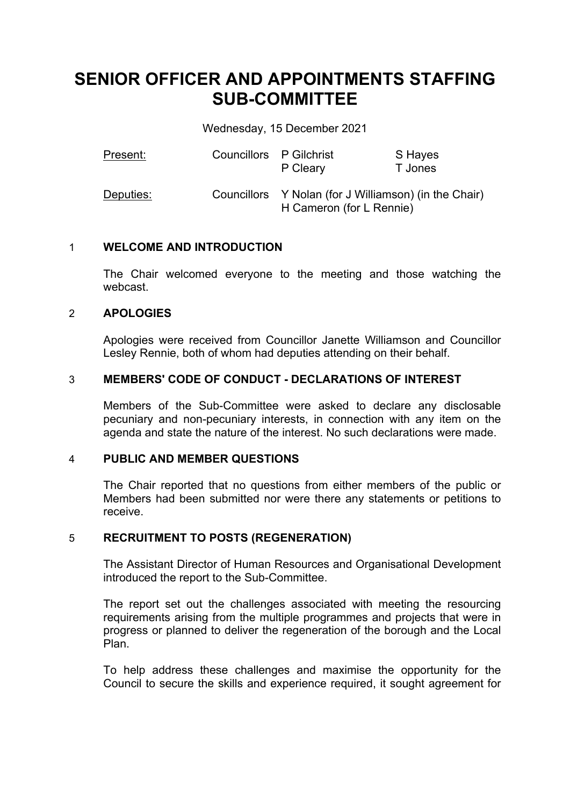# **SENIOR OFFICER AND APPOINTMENTS STAFFING SUB-COMMITTEE**

Wednesday, 15 December 2021

| Present:  | Councillors P Gilchrist | P Cleary                                                                          | S Hayes<br>T Jones |
|-----------|-------------------------|-----------------------------------------------------------------------------------|--------------------|
| Deputies: |                         | Councillors Y Nolan (for J Williamson) (in the Chair)<br>H Cameron (for L Rennie) |                    |

## 1 **WELCOME AND INTRODUCTION**

The Chair welcomed everyone to the meeting and those watching the webcast.

## 2 **APOLOGIES**

Apologies were received from Councillor Janette Williamson and Councillor Lesley Rennie, both of whom had deputies attending on their behalf.

## 3 **MEMBERS' CODE OF CONDUCT - DECLARATIONS OF INTEREST**

Members of the Sub-Committee were asked to declare any disclosable pecuniary and non-pecuniary interests, in connection with any item on the agenda and state the nature of the interest. No such declarations were made.

## 4 **PUBLIC AND MEMBER QUESTIONS**

The Chair reported that no questions from either members of the public or Members had been submitted nor were there any statements or petitions to receive.

## 5 **RECRUITMENT TO POSTS (REGENERATION)**

The Assistant Director of Human Resources and Organisational Development introduced the report to the Sub-Committee.

The report set out the challenges associated with meeting the resourcing requirements arising from the multiple programmes and projects that were in progress or planned to deliver the regeneration of the borough and the Local Plan.

To help address these challenges and maximise the opportunity for the Council to secure the skills and experience required, it sought agreement for